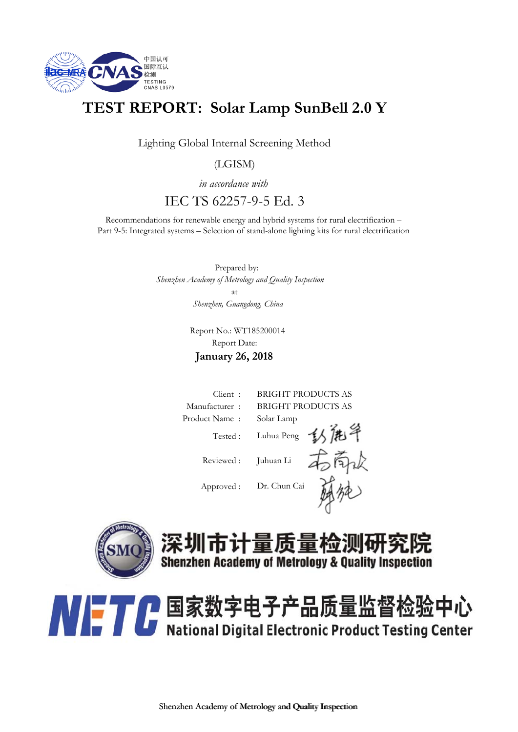

### **TEST REPORT: Solar Lamp SunBell 2.0 Y**

Lighting Global Internal Screening Method

(LGISM)

*in accordance with* IEC TS 62257-9-5 Ed. 3

Recommendations for renewable energy and hybrid systems for rural electrification – Part 9-5: Integrated systems – Selection of stand-alone lighting kits for rural electrification

> Prepared by:  *Shenzhen Academy of Metrology and Quality Inspection Shenzhen, Guangdong, China* at

> > Report No.: WT185200014 Report Date:

**January 26, 2018**







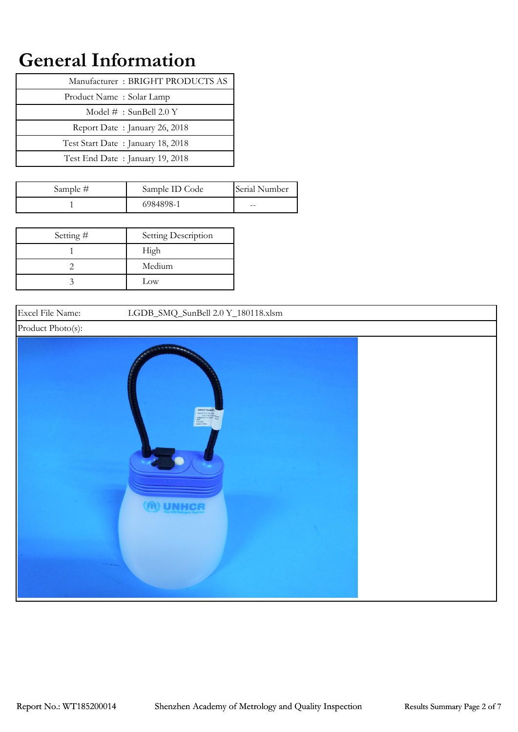## **General Information**

| Manufacturer: BRIGHT PRODUCTS AS  |
|-----------------------------------|
| Product Name: Solar Lamp          |
| Model $#$ : SunBell 2.0 Y         |
| Report Date: January 26, 2018     |
| Test Start Date: January 18, 2018 |
| Test End Date: January 19, 2018   |

| Sample # | Sample ID Code | Serial Number |
|----------|----------------|---------------|
|          | 6984898-1      | $- -$         |

| Setting $#$ | Setting Description |
|-------------|---------------------|
|             | High                |
|             | Medium              |
|             | Low                 |

Excel File Name: LGDB\_SMQ\_SunBell 2.0 Y\_180118.xlsm Product Photo(s): **UNHC**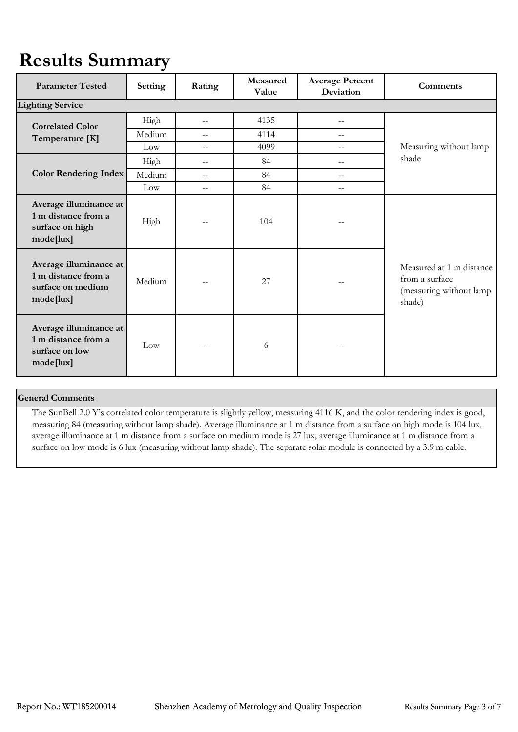# **Results Summary**

| <b>Parameter Tested</b>                                                         | Setting | Rating | Measured<br>Value | <b>Average Percent</b><br>Deviation | <b>Comments</b>                                                                 |
|---------------------------------------------------------------------------------|---------|--------|-------------------|-------------------------------------|---------------------------------------------------------------------------------|
| <b>Lighting Service</b>                                                         |         |        |                   |                                     |                                                                                 |
| <b>Correlated Color</b>                                                         | High    | $-$    | 4135              | $\qquad \qquad -$                   |                                                                                 |
| Temperature [K]                                                                 | Medium  | $-$    | 4114              | $-$                                 |                                                                                 |
|                                                                                 | Low     | $-$    | 4099              | $-$                                 | Measuring without lamp                                                          |
|                                                                                 | High    | $-$    | 84                | $-$                                 | shade                                                                           |
| <b>Color Rendering Index</b>                                                    | Medium  | $-$    | 84                | $-$                                 |                                                                                 |
|                                                                                 | Low     | $-\,-$ | 84                | $-$                                 |                                                                                 |
| Average illuminance at<br>1 m distance from a<br>surface on high<br>mode[lux]   | High    | $-$    | 104               | --                                  |                                                                                 |
| Average illuminance at<br>1 m distance from a<br>surface on medium<br>mode[lux] | Medium  | $-$    | 27                | --                                  | Measured at 1 m distance<br>from a surface<br>(measuring without lamp<br>shade) |
| Average illuminance at<br>1 m distance from a<br>surface on low<br>mode[lux]    | Low     | $-$    | 6                 |                                     |                                                                                 |

#### **General Comments**

The SunBell 2.0 Y's correlated color temperature is slightly yellow, measuring 4116 K, and the color rendering index is good, measuring 84 (measuring without lamp shade). Average illuminance at 1 m distance from a surface on high mode is 104 lux, average illuminance at 1 m distance from a surface on medium mode is 27 lux, average illuminance at 1 m distance from a surface on low mode is 6 lux (measuring without lamp shade). The separate solar module is connected by a 3.9 m cable.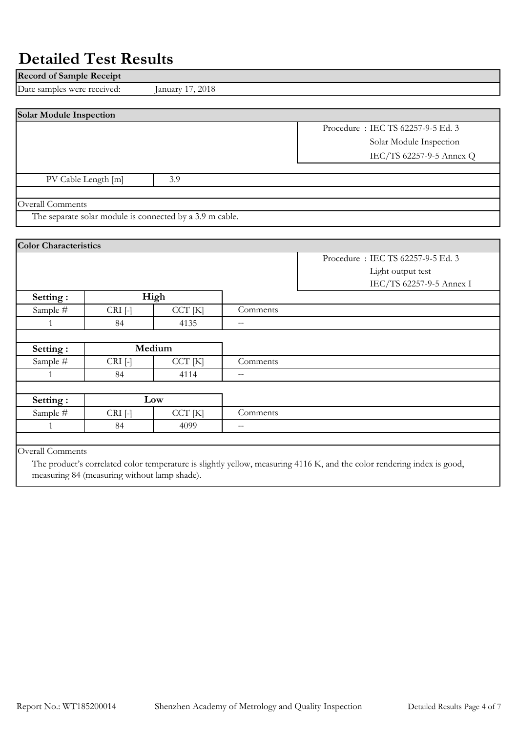### **Detailed Test Results**

measuring 84 (measuring without lamp shade).

| Date samples were received:<br>January 17, 2018<br>Procedure: IEC TS 62257-9-5 Ed. 3<br>Solar Module Inspection<br>IEC/TS 62257-9-5 Annex Q<br>3.9<br>PV Cable Length [m]<br>The separate solar module is connected by a 3.9 m cable.<br>Procedure: IEC TS 62257-9-5 Ed. 3<br>Light output test<br>IEC/TS 62257-9-5 Annex I<br>High<br>Setting:<br>Sample #<br>$CRI$ [-]<br>CCT [K]<br>Comments<br>84<br>4135<br>1<br>$\overline{a}$<br>Medium<br>Setting:<br>Sample #<br>$CRI$ [-]<br>CCT [K]<br>Comments<br>4114<br>$\mathbf{1}$<br>84<br>Low<br>Setting:<br>Sample #<br>CCT [K]<br>Comments<br>$CRI$ [-]<br>84<br>$\mathbf{1}$<br>4099<br>$-$ | <b>Record of Sample Receipt</b> |  |  |                                                                                                                         |
|--------------------------------------------------------------------------------------------------------------------------------------------------------------------------------------------------------------------------------------------------------------------------------------------------------------------------------------------------------------------------------------------------------------------------------------------------------------------------------------------------------------------------------------------------------------------------------------------------------------------------------------------------|---------------------------------|--|--|-------------------------------------------------------------------------------------------------------------------------|
| <b>Solar Module Inspection</b>                                                                                                                                                                                                                                                                                                                                                                                                                                                                                                                                                                                                                   |                                 |  |  |                                                                                                                         |
|                                                                                                                                                                                                                                                                                                                                                                                                                                                                                                                                                                                                                                                  |                                 |  |  |                                                                                                                         |
| Overall Comments<br><b>Color Characteristics</b>                                                                                                                                                                                                                                                                                                                                                                                                                                                                                                                                                                                                 |                                 |  |  |                                                                                                                         |
|                                                                                                                                                                                                                                                                                                                                                                                                                                                                                                                                                                                                                                                  |                                 |  |  |                                                                                                                         |
|                                                                                                                                                                                                                                                                                                                                                                                                                                                                                                                                                                                                                                                  |                                 |  |  |                                                                                                                         |
|                                                                                                                                                                                                                                                                                                                                                                                                                                                                                                                                                                                                                                                  |                                 |  |  |                                                                                                                         |
|                                                                                                                                                                                                                                                                                                                                                                                                                                                                                                                                                                                                                                                  |                                 |  |  |                                                                                                                         |
|                                                                                                                                                                                                                                                                                                                                                                                                                                                                                                                                                                                                                                                  |                                 |  |  |                                                                                                                         |
|                                                                                                                                                                                                                                                                                                                                                                                                                                                                                                                                                                                                                                                  |                                 |  |  |                                                                                                                         |
|                                                                                                                                                                                                                                                                                                                                                                                                                                                                                                                                                                                                                                                  |                                 |  |  |                                                                                                                         |
|                                                                                                                                                                                                                                                                                                                                                                                                                                                                                                                                                                                                                                                  |                                 |  |  |                                                                                                                         |
|                                                                                                                                                                                                                                                                                                                                                                                                                                                                                                                                                                                                                                                  |                                 |  |  |                                                                                                                         |
|                                                                                                                                                                                                                                                                                                                                                                                                                                                                                                                                                                                                                                                  |                                 |  |  |                                                                                                                         |
|                                                                                                                                                                                                                                                                                                                                                                                                                                                                                                                                                                                                                                                  |                                 |  |  |                                                                                                                         |
|                                                                                                                                                                                                                                                                                                                                                                                                                                                                                                                                                                                                                                                  |                                 |  |  |                                                                                                                         |
|                                                                                                                                                                                                                                                                                                                                                                                                                                                                                                                                                                                                                                                  |                                 |  |  |                                                                                                                         |
|                                                                                                                                                                                                                                                                                                                                                                                                                                                                                                                                                                                                                                                  |                                 |  |  |                                                                                                                         |
|                                                                                                                                                                                                                                                                                                                                                                                                                                                                                                                                                                                                                                                  |                                 |  |  |                                                                                                                         |
|                                                                                                                                                                                                                                                                                                                                                                                                                                                                                                                                                                                                                                                  |                                 |  |  |                                                                                                                         |
|                                                                                                                                                                                                                                                                                                                                                                                                                                                                                                                                                                                                                                                  |                                 |  |  |                                                                                                                         |
|                                                                                                                                                                                                                                                                                                                                                                                                                                                                                                                                                                                                                                                  |                                 |  |  |                                                                                                                         |
|                                                                                                                                                                                                                                                                                                                                                                                                                                                                                                                                                                                                                                                  |                                 |  |  |                                                                                                                         |
|                                                                                                                                                                                                                                                                                                                                                                                                                                                                                                                                                                                                                                                  |                                 |  |  |                                                                                                                         |
|                                                                                                                                                                                                                                                                                                                                                                                                                                                                                                                                                                                                                                                  |                                 |  |  |                                                                                                                         |
|                                                                                                                                                                                                                                                                                                                                                                                                                                                                                                                                                                                                                                                  |                                 |  |  |                                                                                                                         |
|                                                                                                                                                                                                                                                                                                                                                                                                                                                                                                                                                                                                                                                  |                                 |  |  |                                                                                                                         |
|                                                                                                                                                                                                                                                                                                                                                                                                                                                                                                                                                                                                                                                  |                                 |  |  | The product's correlated color temperature is slightly yellow, measuring 4116 K, and the color rendering index is good, |

Report No.: WT185200014 Shenzhen Academy of Metrology and Quality Inspection Detailed Results Page 4 of 7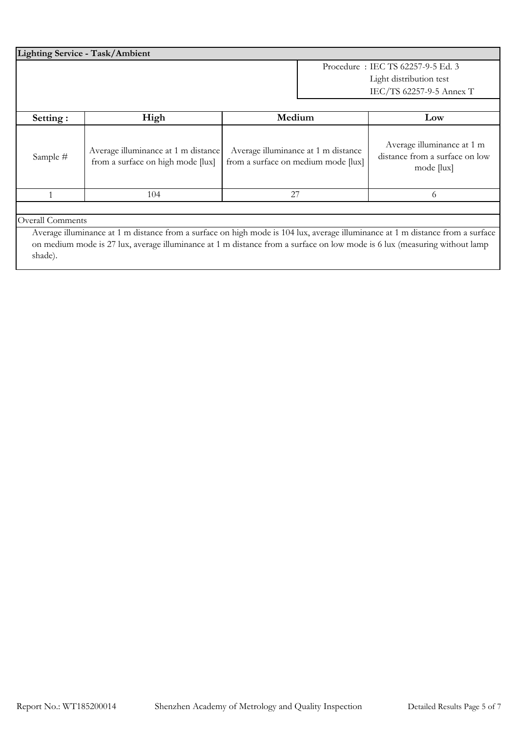| <b>Lighting Service - Task/Ambient</b> |                                                                          |                                                                                                                                                                                                                                                             |                                                                                          |  |  |
|----------------------------------------|--------------------------------------------------------------------------|-------------------------------------------------------------------------------------------------------------------------------------------------------------------------------------------------------------------------------------------------------------|------------------------------------------------------------------------------------------|--|--|
|                                        |                                                                          |                                                                                                                                                                                                                                                             | Procedure: IEC TS 62257-9-5 Ed. 3<br>Light distribution test<br>IEC/TS 62257-9-5 Annex T |  |  |
| Setting:                               | High                                                                     | Medium                                                                                                                                                                                                                                                      | Low                                                                                      |  |  |
| Sample #                               | Average illuminance at 1 m distance<br>from a surface on high mode [lux] | Average illuminance at 1 m distance<br>from a surface on medium mode [lux]                                                                                                                                                                                  | Average illuminance at 1 m<br>distance from a surface on low<br>mode [lux]               |  |  |
|                                        | 104                                                                      | 27                                                                                                                                                                                                                                                          | 6                                                                                        |  |  |
| <b>Overall Comments</b>                |                                                                          | Average illuminance at 1 m distance from a surface on high mode is 104 lux, average illuminance at 1 m distance from a surface<br>on medium mode is 27 lux, average illuminance at 1 m distance from a surface on low mode is 6 lux (measuring without lamp |                                                                                          |  |  |

shade).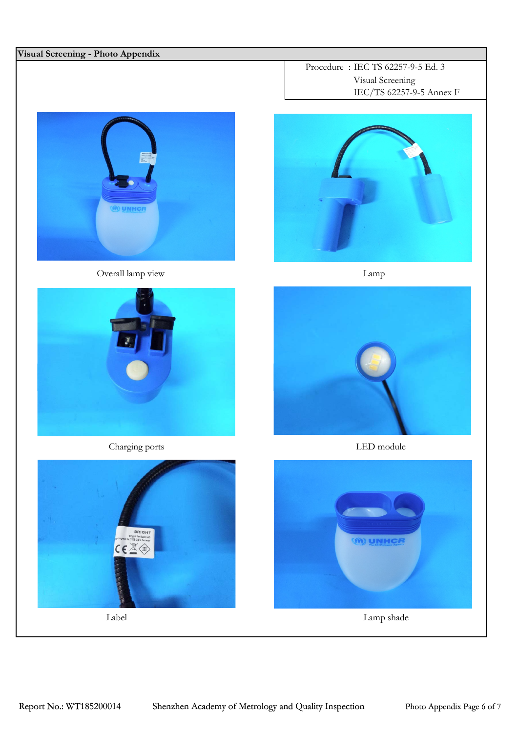#### **Visual Screening - Photo Appendix**



Overall lamp view Lamp



Charging ports LED module